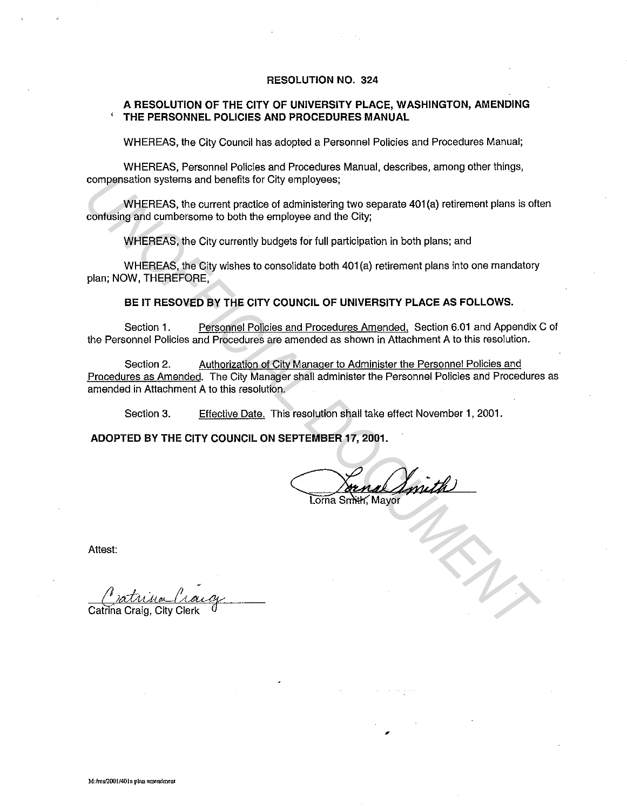### **RESOLUTION NO. 324**

#### **A RESOLUTION OF THE CITY OF UNIVERSITY PLACE, WASHINGTON, AMENDING**  ' **THE PERSONNEL POLICIES AND PROCEDURES MANUAL**

WHEREAS, the City Council has adopted a Personnel Policies and Procedures Manual;

WHEREAS, Personnel Policies and Procedures Manual, describes, among other things, compensation systems and benefits for City employees;

WHEREAS, the current practice of administering two separate 401(a) retirement plans is often confusing and cumbersome to both the employee and the City;

WHEREAS, the City currently budgets for full participation in both plans; and

WHEREAS, the City wishes to consolidate both 401 (a) retirement plans into one mandatory plan; NOW, THEREFORE,

### **BE IT RESOVED BY THE CITY COUNCIL OF UNIVERSITY PLACE AS FOLLOWS.**

Section **1.** Personnel Policies and Procedures Amended. Section 6.01 and Appendix C of the Personnel Policies and Procedures are amended as shown in Attachment A to this resolution.

Section 2. Authorization of City Manager to Administer the Personnel Policies and Procedures as Amended. The City Manager shall administer the Personnel Policies and Procedures as amended in Attachment A to this resolution. compensation systems and benefits for City employees;<br>
where a compensation of action of action of action of action<br>
contuining and cumbersome to both the employee and the City;<br>
WHEREAS, the City currently budgets for ful

Section 3. Effective Date. This resolution shall take effect November 1, 2001.

**ADOPTED BY THE CITY COUNCIL ON SEPTEMBER 17, 2001.** 

,

Attest: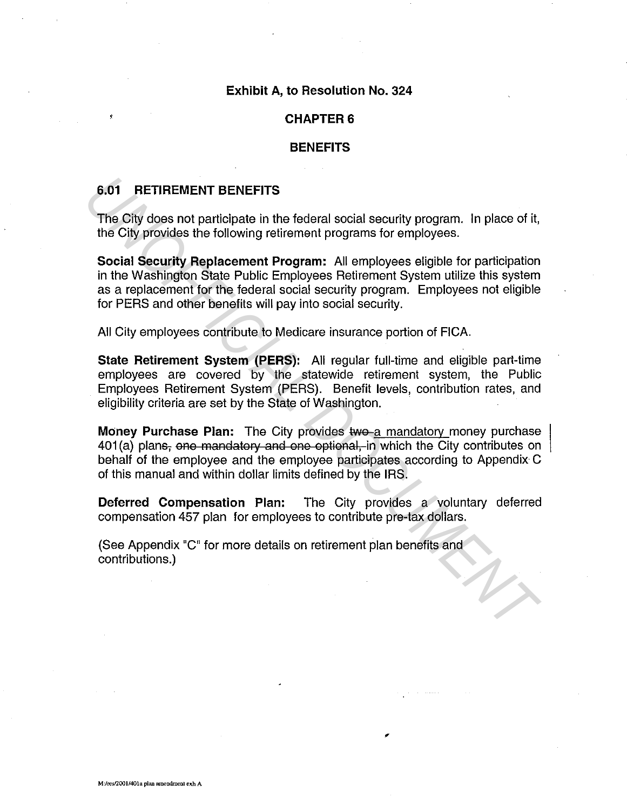### Exhibit A, to Resolution No. 324

### **CHAPTER 6**

### **BENEFITS**

# 6.01 RETIREMENT BENEFITS

The City does not participate in the federal social security program. In place of it, the City provides the following retirement programs for employees.

Social Security Replacement Program: All employees eligible for participation in the Washington State Public Employees Retirement System utilize this system as a replacement for the federal social security program. Employees not eligible for PERS and other benefits will pay into social security. **6.01 RETIREMENT BENEFITS**<br>
The City does not participate in the federal social security program. In place of it,<br>
the City provides the following retirement programs for employees.<br> **Social Security Replacement Program:**

All City employees contribute to Medicare insurance portion of FICA.

State Retirement System (PERS): All regular full-time and eligible part-time employees are covered by the statewide retirement system, the Public Employees Retirement System (PERS). Benefit levels, contribution rates, and eligibility criteria are set by the State of Washington.

Money Purchase Plan: The City provides two a mandatory money purchase 401(a) plans, one mandatory and one optional, in which the City contributes on behalf of the employee and the employee participates according to Appendix C of this manual and within dollar limits defined by the IRS.

Deferred Compensation Plan: The City provides a voluntary deferred compensation 457 plan for employees to contribute pre-tax dollars.

,

(See Appendix "C" for more details on retirement plan benefits and contributions.)